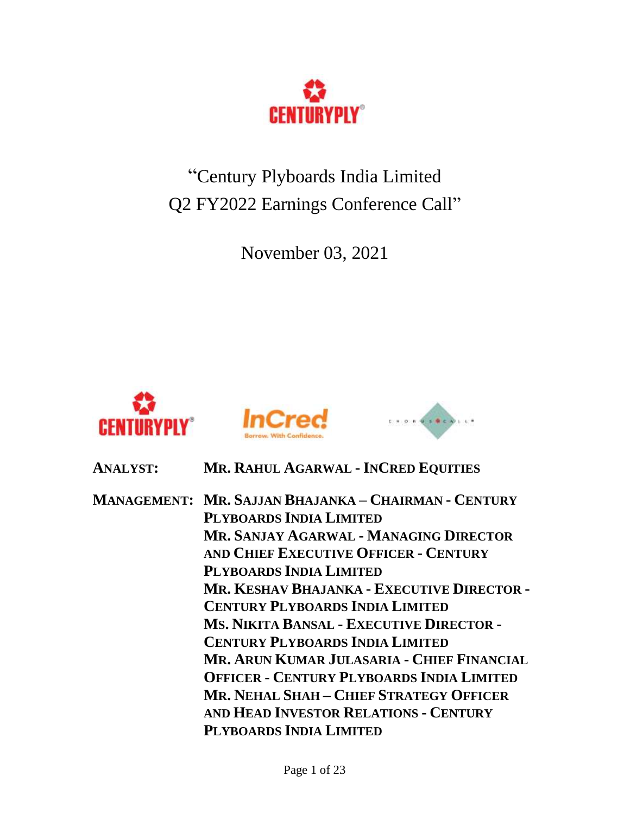

"Century Plyboards India Limited Q2 FY2022 Earnings Conference Call"

November 03, 2021







# **ANALYST: MR. RAHUL AGARWAL - INCRED EQUITIES**

**MANAGEMENT: MR. SAJJAN BHAJANKA – CHAIRMAN - CENTURY PLYBOARDS INDIA LIMITED MR. SANJAY AGARWAL - MANAGING DIRECTOR AND CHIEF EXECUTIVE OFFICER - CENTURY PLYBOARDS INDIA LIMITED MR. KESHAV BHAJANKA - EXECUTIVE DIRECTOR - CENTURY PLYBOARDS INDIA LIMITED MS. NIKITA BANSAL - EXECUTIVE DIRECTOR - CENTURY PLYBOARDS INDIA LIMITED MR. ARUN KUMAR JULASARIA - CHIEF FINANCIAL OFFICER - CENTURY PLYBOARDS INDIA LIMITED MR. NEHAL SHAH – CHIEF STRATEGY OFFICER AND HEAD INVESTOR RELATIONS - CENTURY PLYBOARDS INDIA LIMITED**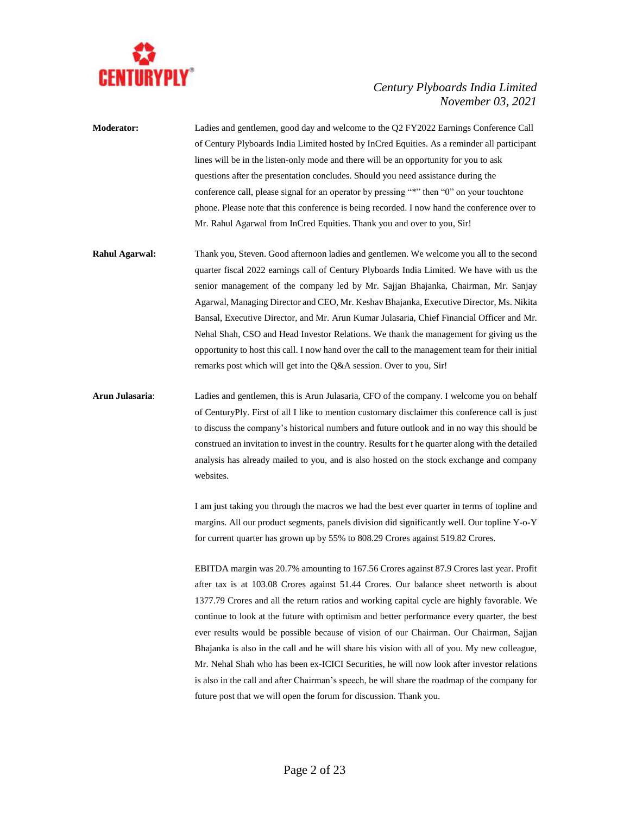

**Moderator:** Ladies and gentlemen, good day and welcome to the Q2 FY2022 Earnings Conference Call of Century Plyboards India Limited hosted by InCred Equities. As a reminder all participant lines will be in the listen-only mode and there will be an opportunity for you to ask questions after the presentation concludes. Should you need assistance during the conference call, please signal for an operator by pressing "\*" then "0" on your touchtone phone. Please note that this conference is being recorded. I now hand the conference over to Mr. Rahul Agarwal from InCred Equities. Thank you and over to you, Sir!

**Rahul Agarwal:** Thank you, Steven. Good afternoon ladies and gentlemen. We welcome you all to the second quarter fiscal 2022 earnings call of Century Plyboards India Limited. We have with us the senior management of the company led by Mr. Sajjan Bhajanka, Chairman, Mr. Sanjay Agarwal, Managing Director and CEO, Mr. Keshav Bhajanka, Executive Director, Ms. Nikita Bansal, Executive Director, and Mr. Arun Kumar Julasaria, Chief Financial Officer and Mr. Nehal Shah, CSO and Head Investor Relations. We thank the management for giving us the opportunity to host this call. I now hand over the call to the management team for their initial remarks post which will get into the Q&A session. Over to you, Sir!

**Arun Julasaria**: Ladies and gentlemen, this is Arun Julasaria, CFO of the company. I welcome you on behalf of CenturyPly. First of all I like to mention customary disclaimer this conference call is just to discuss the company's historical numbers and future outlook and in no way this should be construed an invitation to invest in the country. Results for t he quarter along with the detailed analysis has already mailed to you, and is also hosted on the stock exchange and company websites.

> I am just taking you through the macros we had the best ever quarter in terms of topline and margins. All our product segments, panels division did significantly well. Our topline Y-o-Y for current quarter has grown up by 55% to 808.29 Crores against 519.82 Crores.

> EBITDA margin was 20.7% amounting to 167.56 Crores against 87.9 Crores last year. Profit after tax is at 103.08 Crores against 51.44 Crores. Our balance sheet networth is about 1377.79 Crores and all the return ratios and working capital cycle are highly favorable. We continue to look at the future with optimism and better performance every quarter, the best ever results would be possible because of vision of our Chairman. Our Chairman, Sajjan Bhajanka is also in the call and he will share his vision with all of you. My new colleague, Mr. Nehal Shah who has been ex-ICICI Securities, he will now look after investor relations is also in the call and after Chairman's speech, he will share the roadmap of the company for future post that we will open the forum for discussion. Thank you.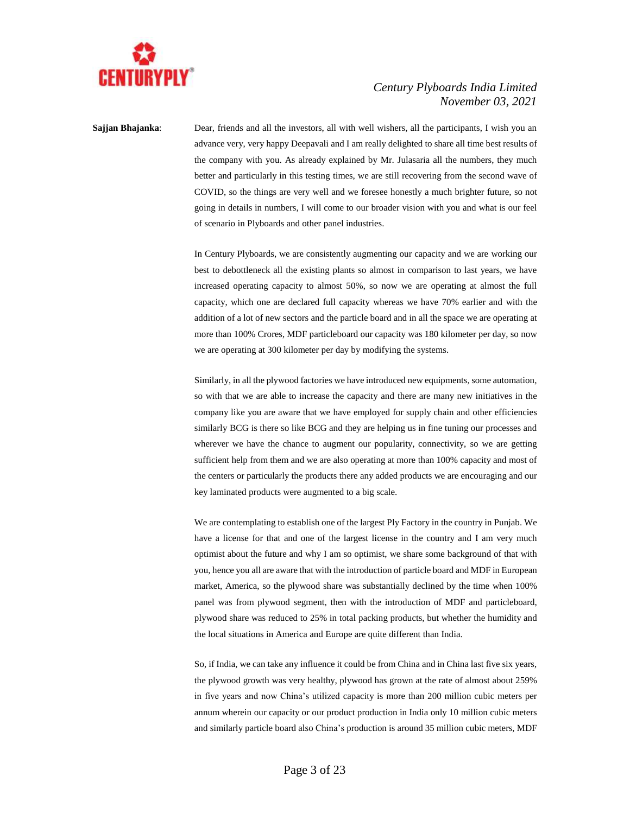

**Sajjan Bhajanka**: Dear, friends and all the investors, all with well wishers, all the participants, I wish you an advance very, very happy Deepavali and I am really delighted to share all time best results of the company with you. As already explained by Mr. Julasaria all the numbers, they much better and particularly in this testing times, we are still recovering from the second wave of COVID, so the things are very well and we foresee honestly a much brighter future, so not going in details in numbers, I will come to our broader vision with you and what is our feel of scenario in Plyboards and other panel industries.

> In Century Plyboards, we are consistently augmenting our capacity and we are working our best to debottleneck all the existing plants so almost in comparison to last years, we have increased operating capacity to almost 50%, so now we are operating at almost the full capacity, which one are declared full capacity whereas we have 70% earlier and with the addition of a lot of new sectors and the particle board and in all the space we are operating at more than 100% Crores, MDF particleboard our capacity was 180 kilometer per day, so now we are operating at 300 kilometer per day by modifying the systems.

> Similarly, in all the plywood factories we have introduced new equipments, some automation, so with that we are able to increase the capacity and there are many new initiatives in the company like you are aware that we have employed for supply chain and other efficiencies similarly BCG is there so like BCG and they are helping us in fine tuning our processes and wherever we have the chance to augment our popularity, connectivity, so we are getting sufficient help from them and we are also operating at more than 100% capacity and most of the centers or particularly the products there any added products we are encouraging and our key laminated products were augmented to a big scale.

> We are contemplating to establish one of the largest Ply Factory in the country in Punjab. We have a license for that and one of the largest license in the country and I am very much optimist about the future and why I am so optimist, we share some background of that with you, hence you all are aware that with the introduction of particle board and MDF in European market, America, so the plywood share was substantially declined by the time when 100% panel was from plywood segment, then with the introduction of MDF and particleboard, plywood share was reduced to 25% in total packing products, but whether the humidity and the local situations in America and Europe are quite different than India.

> So, if India, we can take any influence it could be from China and in China last five six years, the plywood growth was very healthy, plywood has grown at the rate of almost about 259% in five years and now China's utilized capacity is more than 200 million cubic meters per annum wherein our capacity or our product production in India only 10 million cubic meters and similarly particle board also China's production is around 35 million cubic meters, MDF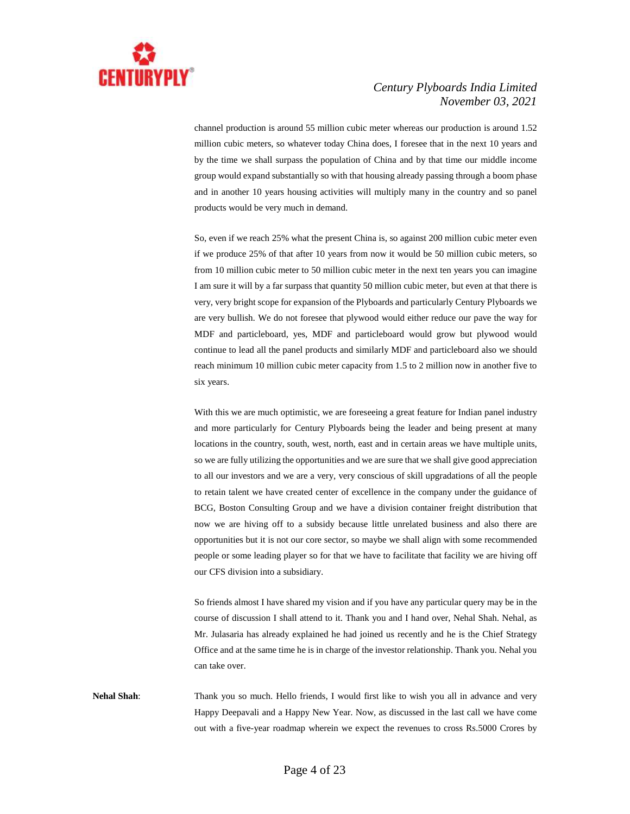

channel production is around 55 million cubic meter whereas our production is around 1.52 million cubic meters, so whatever today China does, I foresee that in the next 10 years and by the time we shall surpass the population of China and by that time our middle income group would expand substantially so with that housing already passing through a boom phase and in another 10 years housing activities will multiply many in the country and so panel products would be very much in demand.

So, even if we reach 25% what the present China is, so against 200 million cubic meter even if we produce 25% of that after 10 years from now it would be 50 million cubic meters, so from 10 million cubic meter to 50 million cubic meter in the next ten years you can imagine I am sure it will by a far surpass that quantity 50 million cubic meter, but even at that there is very, very bright scope for expansion of the Plyboards and particularly Century Plyboards we are very bullish. We do not foresee that plywood would either reduce our pave the way for MDF and particleboard, yes, MDF and particleboard would grow but plywood would continue to lead all the panel products and similarly MDF and particleboard also we should reach minimum 10 million cubic meter capacity from 1.5 to 2 million now in another five to six years.

With this we are much optimistic, we are foreseeing a great feature for Indian panel industry and more particularly for Century Plyboards being the leader and being present at many locations in the country, south, west, north, east and in certain areas we have multiple units, so we are fully utilizing the opportunities and we are sure that we shall give good appreciation to all our investors and we are a very, very conscious of skill upgradations of all the people to retain talent we have created center of excellence in the company under the guidance of BCG, Boston Consulting Group and we have a division container freight distribution that now we are hiving off to a subsidy because little unrelated business and also there are opportunities but it is not our core sector, so maybe we shall align with some recommended people or some leading player so for that we have to facilitate that facility we are hiving off our CFS division into a subsidiary.

So friends almost I have shared my vision and if you have any particular query may be in the course of discussion I shall attend to it. Thank you and I hand over, Nehal Shah. Nehal, as Mr. Julasaria has already explained he had joined us recently and he is the Chief Strategy Office and at the same time he is in charge of the investor relationship. Thank you. Nehal you can take over.

**Nehal Shah**: Thank you so much. Hello friends, I would first like to wish you all in advance and very Happy Deepavali and a Happy New Year. Now, as discussed in the last call we have come out with a five-year roadmap wherein we expect the revenues to cross Rs.5000 Crores by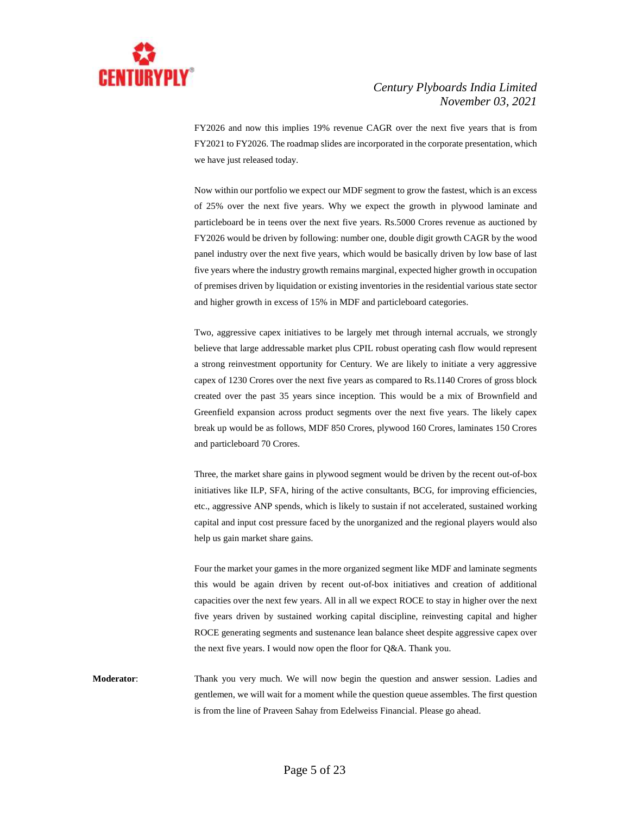

FY2026 and now this implies 19% revenue CAGR over the next five years that is from FY2021 to FY2026. The roadmap slides are incorporated in the corporate presentation, which we have just released today.

Now within our portfolio we expect our MDF segment to grow the fastest, which is an excess of 25% over the next five years. Why we expect the growth in plywood laminate and particleboard be in teens over the next five years. Rs.5000 Crores revenue as auctioned by FY2026 would be driven by following: number one, double digit growth CAGR by the wood panel industry over the next five years, which would be basically driven by low base of last five years where the industry growth remains marginal, expected higher growth in occupation of premises driven by liquidation or existing inventories in the residential various state sector and higher growth in excess of 15% in MDF and particleboard categories.

Two, aggressive capex initiatives to be largely met through internal accruals, we strongly believe that large addressable market plus CPIL robust operating cash flow would represent a strong reinvestment opportunity for Century. We are likely to initiate a very aggressive capex of 1230 Crores over the next five years as compared to Rs.1140 Crores of gross block created over the past 35 years since inception. This would be a mix of Brownfield and Greenfield expansion across product segments over the next five years. The likely capex break up would be as follows, MDF 850 Crores, plywood 160 Crores, laminates 150 Crores and particleboard 70 Crores.

Three, the market share gains in plywood segment would be driven by the recent out-of-box initiatives like ILP, SFA, hiring of the active consultants, BCG, for improving efficiencies, etc., aggressive ANP spends, which is likely to sustain if not accelerated, sustained working capital and input cost pressure faced by the unorganized and the regional players would also help us gain market share gains.

Four the market your games in the more organized segment like MDF and laminate segments this would be again driven by recent out-of-box initiatives and creation of additional capacities over the next few years. All in all we expect ROCE to stay in higher over the next five years driven by sustained working capital discipline, reinvesting capital and higher ROCE generating segments and sustenance lean balance sheet despite aggressive capex over the next five years. I would now open the floor for Q&A. Thank you.

**Moderator**: Thank you very much. We will now begin the question and answer session. Ladies and gentlemen, we will wait for a moment while the question queue assembles. The first question is from the line of Praveen Sahay from Edelweiss Financial. Please go ahead.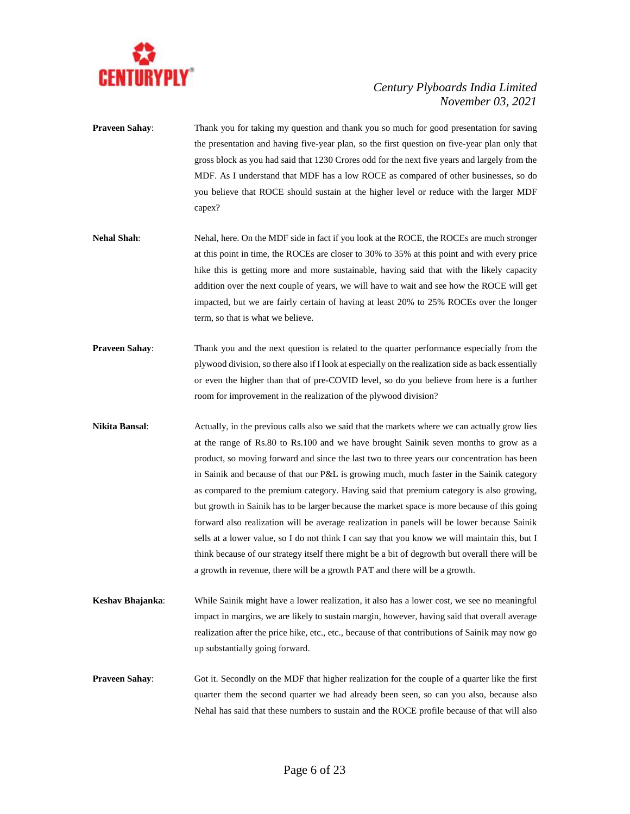

- **Praveen Sahay**: Thank you for taking my question and thank you so much for good presentation for saving the presentation and having five-year plan, so the first question on five-year plan only that gross block as you had said that 1230 Crores odd for the next five years and largely from the MDF. As I understand that MDF has a low ROCE as compared of other businesses, so do you believe that ROCE should sustain at the higher level or reduce with the larger MDF capex?
- **Nehal Shah**: Nehal, here. On the MDF side in fact if you look at the ROCE, the ROCEs are much stronger at this point in time, the ROCEs are closer to 30% to 35% at this point and with every price hike this is getting more and more sustainable, having said that with the likely capacity addition over the next couple of years, we will have to wait and see how the ROCE will get impacted, but we are fairly certain of having at least 20% to 25% ROCEs over the longer term, so that is what we believe.
- **Praveen Sahay:** Thank you and the next question is related to the quarter performance especially from the plywood division, so there also if I look at especially on the realization side as back essentially or even the higher than that of pre-COVID level, so do you believe from here is a further room for improvement in the realization of the plywood division?
- **Nikita Bansal:** Actually, in the previous calls also we said that the markets where we can actually grow lies at the range of Rs.80 to Rs.100 and we have brought Sainik seven months to grow as a product, so moving forward and since the last two to three years our concentration has been in Sainik and because of that our P&L is growing much, much faster in the Sainik category as compared to the premium category. Having said that premium category is also growing, but growth in Sainik has to be larger because the market space is more because of this going forward also realization will be average realization in panels will be lower because Sainik sells at a lower value, so I do not think I can say that you know we will maintain this, but I think because of our strategy itself there might be a bit of degrowth but overall there will be a growth in revenue, there will be a growth PAT and there will be a growth.
- **Keshav Bhajanka**: While Sainik might have a lower realization, it also has a lower cost, we see no meaningful impact in margins, we are likely to sustain margin, however, having said that overall average realization after the price hike, etc., etc., because of that contributions of Sainik may now go up substantially going forward.
- **Praveen Sahay:** Got it. Secondly on the MDF that higher realization for the couple of a quarter like the first quarter them the second quarter we had already been seen, so can you also, because also Nehal has said that these numbers to sustain and the ROCE profile because of that will also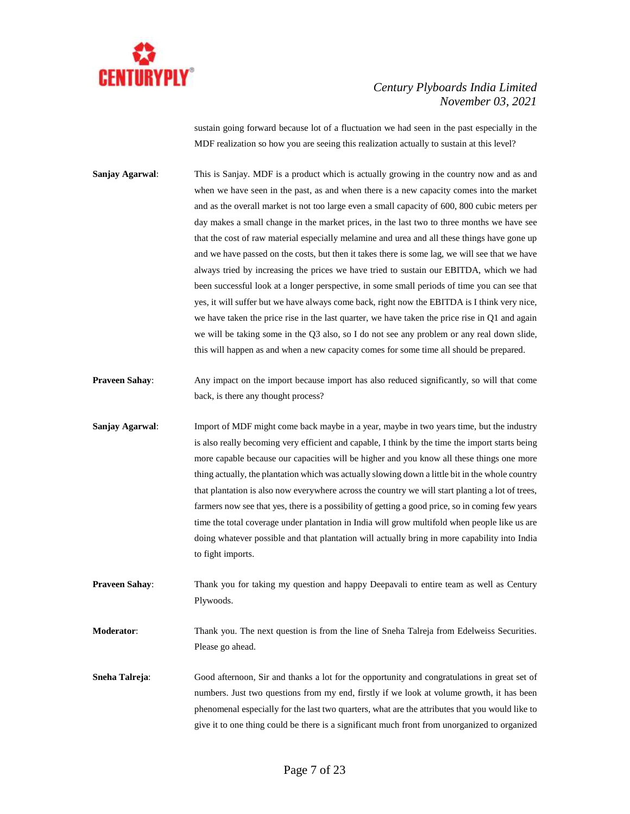

sustain going forward because lot of a fluctuation we had seen in the past especially in the MDF realization so how you are seeing this realization actually to sustain at this level?

**Sanjay Agarwal**: This is Sanjay. MDF is a product which is actually growing in the country now and as and when we have seen in the past, as and when there is a new capacity comes into the market and as the overall market is not too large even a small capacity of 600, 800 cubic meters per day makes a small change in the market prices, in the last two to three months we have see that the cost of raw material especially melamine and urea and all these things have gone up and we have passed on the costs, but then it takes there is some lag, we will see that we have always tried by increasing the prices we have tried to sustain our EBITDA, which we had been successful look at a longer perspective, in some small periods of time you can see that yes, it will suffer but we have always come back, right now the EBITDA is I think very nice, we have taken the price rise in the last quarter, we have taken the price rise in Q1 and again we will be taking some in the Q3 also, so I do not see any problem or any real down slide, this will happen as and when a new capacity comes for some time all should be prepared.

- **Praveen Sahay:** Any impact on the import because import has also reduced significantly, so will that come back, is there any thought process?
- **Sanjay Agarwal:** Import of MDF might come back maybe in a year, maybe in two years time, but the industry is also really becoming very efficient and capable, I think by the time the import starts being more capable because our capacities will be higher and you know all these things one more thing actually, the plantation which was actually slowing down a little bit in the whole country that plantation is also now everywhere across the country we will start planting a lot of trees, farmers now see that yes, there is a possibility of getting a good price, so in coming few years time the total coverage under plantation in India will grow multifold when people like us are doing whatever possible and that plantation will actually bring in more capability into India to fight imports.
- **Praveen Sahay:** Thank you for taking my question and happy Deepavali to entire team as well as Century Plywoods.

**Moderator:** Thank you. The next question is from the line of Sneha Talreja from Edelweiss Securities. Please go ahead.

**Sneha Talreja:** Good afternoon, Sir and thanks a lot for the opportunity and congratulations in great set of numbers. Just two questions from my end, firstly if we look at volume growth, it has been phenomenal especially for the last two quarters, what are the attributes that you would like to give it to one thing could be there is a significant much front from unorganized to organized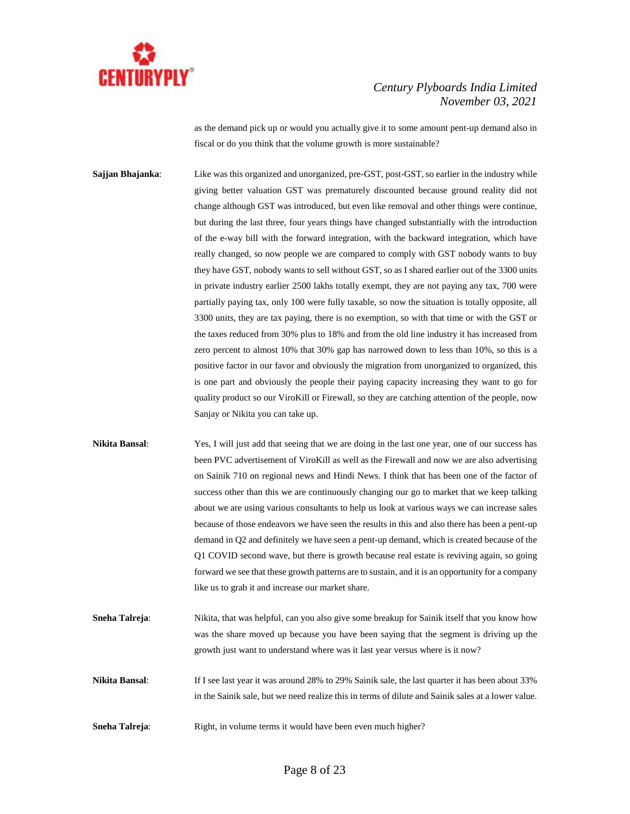

as the demand pick up or would you actually give it to some amount pent-up demand also in fiscal or do you think that the volume growth is more sustainable?

**Sajjan Bhajanka:** Like was this organized and unorganized, pre-GST, post-GST, so earlier in the industry while giving better valuation GST was prematurely discounted because ground reality did not change although GST was introduced, but even like removal and other things were continue, but during the last three, four years things have changed substantially with the introduction of the e-way bill with the forward integration, with the backward integration, which have really changed, so now people we are compared to comply with GST nobody wants to buy they have GST, nobody wants to sell without GST, so as I shared earlier out of the 3300 units in private industry earlier 2500 lakhs totally exempt, they are not paying any tax, 700 were partially paying tax, only 100 were fully taxable, so now the situation is totally opposite, all 3300 units, they are tax paying, there is no exemption, so with that time or with the GST or the taxes reduced from 30% plus to 18% and from the old line industry it has increased from zero percent to almost 10% that 30% gap has narrowed down to less than 10%, so this is a positive factor in our favor and obviously the migration from unorganized to organized, this is one part and obviously the people their paying capacity increasing they want to go for quality product so our ViroKill or Firewall, so they are catching attention of the people, now Sanjay or Nikita you can take up.

**Nikita Bansal**: Yes, I will just add that seeing that we are doing in the last one year, one of our success has been PVC advertisement of ViroKill as well as the Firewall and now we are also advertising on Sainik 710 on regional news and Hindi News. I think that has been one of the factor of success other than this we are continuously changing our go to market that we keep talking about we are using various consultants to help us look at various ways we can increase sales because of those endeavors we have seen the results in this and also there has been a pent-up demand in Q2 and definitely we have seen a pent-up demand, which is created because of the Q1 COVID second wave, but there is growth because real estate is reviving again, so going forward we see that these growth patterns are to sustain, and it is an opportunity for a company like us to grab it and increase our market share.

**Sneha Talreja:** Nikita, that was helpful, can you also give some breakup for Sainik itself that you know how was the share moved up because you have been saying that the segment is driving up the growth just want to understand where was it last year versus where is it now?

- **Nikita Bansal:** If I see last year it was around 28% to 29% Sainik sale, the last quarter it has been about 33% in the Sainik sale, but we need realize this in terms of dilute and Sainik sales at a lower value.
- **Sneha Talreja:** Right, in volume terms it would have been even much higher?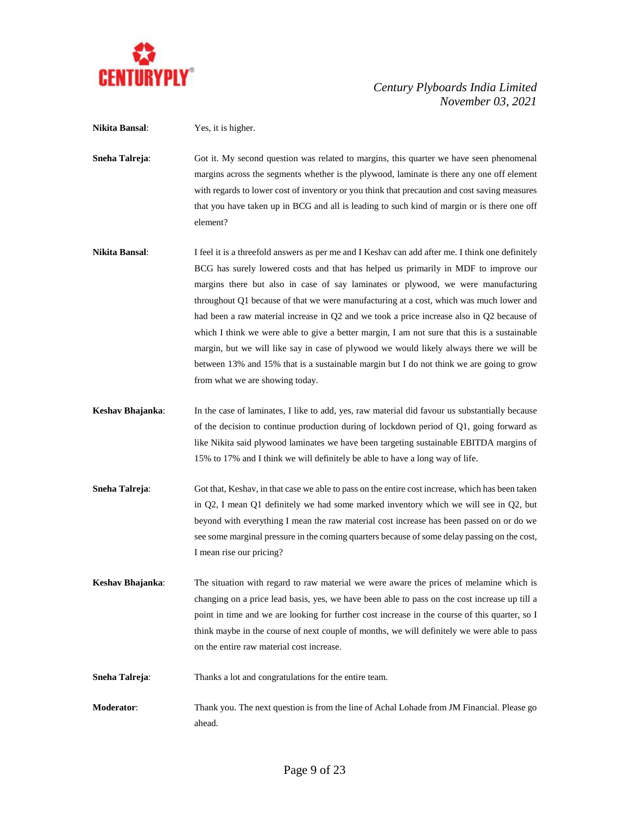

**Nikita Bansal**: Yes, it is higher.

**Sneha Talreja:** Got it. My second question was related to margins, this quarter we have seen phenomenal margins across the segments whether is the plywood, laminate is there any one off element with regards to lower cost of inventory or you think that precaution and cost saving measures that you have taken up in BCG and all is leading to such kind of margin or is there one off element?

- **Nikita Bansal:** I feel it is a threefold answers as per me and I Keshav can add after me. I think one definitely BCG has surely lowered costs and that has helped us primarily in MDF to improve our margins there but also in case of say laminates or plywood, we were manufacturing throughout Q1 because of that we were manufacturing at a cost, which was much lower and had been a raw material increase in Q2 and we took a price increase also in Q2 because of which I think we were able to give a better margin, I am not sure that this is a sustainable margin, but we will like say in case of plywood we would likely always there we will be between 13% and 15% that is a sustainable margin but I do not think we are going to grow from what we are showing today.
- **Keshav Bhajanka**: In the case of laminates, I like to add, yes, raw material did favour us substantially because of the decision to continue production during of lockdown period of Q1, going forward as like Nikita said plywood laminates we have been targeting sustainable EBITDA margins of 15% to 17% and I think we will definitely be able to have a long way of life.
- **Sneha Talreja:** Got that, Keshav, in that case we able to pass on the entire cost increase, which has been taken in Q2, I mean Q1 definitely we had some marked inventory which we will see in Q2, but beyond with everything I mean the raw material cost increase has been passed on or do we see some marginal pressure in the coming quarters because of some delay passing on the cost, I mean rise our pricing?
- **Keshav Bhajanka**: The situation with regard to raw material we were aware the prices of melamine which is changing on a price lead basis, yes, we have been able to pass on the cost increase up till a point in time and we are looking for further cost increase in the course of this quarter, so I think maybe in the course of next couple of months, we will definitely we were able to pass on the entire raw material cost increase.
- **Sneha Talreja:** Thanks a lot and congratulations for the entire team.
- **Moderator**: Thank you. The next question is from the line of Achal Lohade from JM Financial. Please go ahead.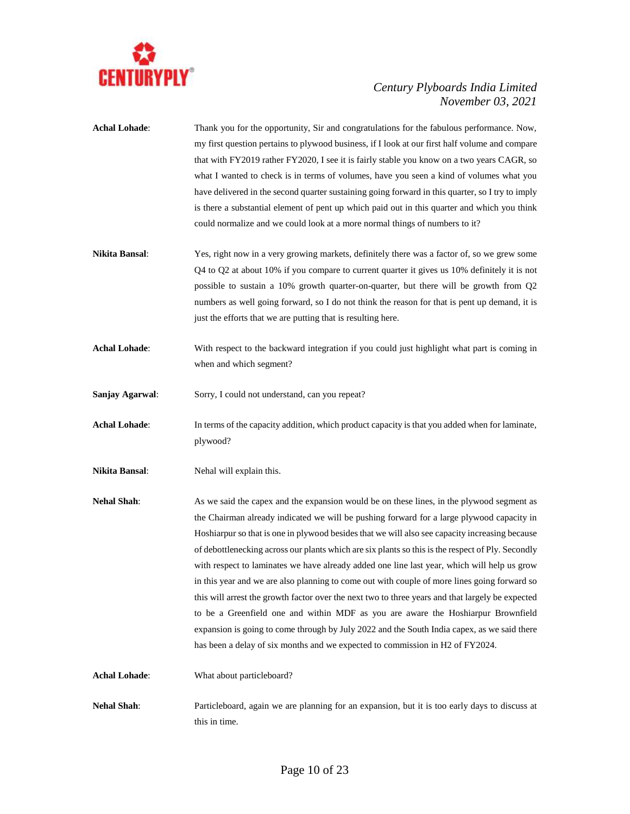

- **Achal Lohade**: Thank you for the opportunity, Sir and congratulations for the fabulous performance. Now, my first question pertains to plywood business, if I look at our first half volume and compare that with FY2019 rather FY2020, I see it is fairly stable you know on a two years CAGR, so what I wanted to check is in terms of volumes, have you seen a kind of volumes what you have delivered in the second quarter sustaining going forward in this quarter, so I try to imply is there a substantial element of pent up which paid out in this quarter and which you think could normalize and we could look at a more normal things of numbers to it? **Nikita Bansal**: Yes, right now in a very growing markets, definitely there was a factor of, so we grew some Q4 to Q2 at about 10% if you compare to current quarter it gives us 10% definitely it is not possible to sustain a 10% growth quarter-on-quarter, but there will be growth from Q2 numbers as well going forward, so I do not think the reason for that is pent up demand, it is just the efforts that we are putting that is resulting here.
- **Achal Lohade**: With respect to the backward integration if you could just highlight what part is coming in when and which segment?
- **Sanjay Agarwal**: Sorry, I could not understand, can you repeat?
- **Achal Lohade**: In terms of the capacity addition, which product capacity is that you added when for laminate, plywood?
- **Nikita Bansal:** Nehal will explain this.
- **Nehal Shah:** As we said the capex and the expansion would be on these lines, in the plywood segment as the Chairman already indicated we will be pushing forward for a large plywood capacity in Hoshiarpur so that is one in plywood besides that we will also see capacity increasing because of debottlenecking across our plants which are six plants so this is the respect of Ply. Secondly with respect to laminates we have already added one line last year, which will help us grow in this year and we are also planning to come out with couple of more lines going forward so this will arrest the growth factor over the next two to three years and that largely be expected to be a Greenfield one and within MDF as you are aware the Hoshiarpur Brownfield expansion is going to come through by July 2022 and the South India capex, as we said there has been a delay of six months and we expected to commission in H2 of FY2024.

**Achal Lohade**: What about particleboard?

**Nehal Shah**: Particleboard, again we are planning for an expansion, but it is too early days to discuss at this in time.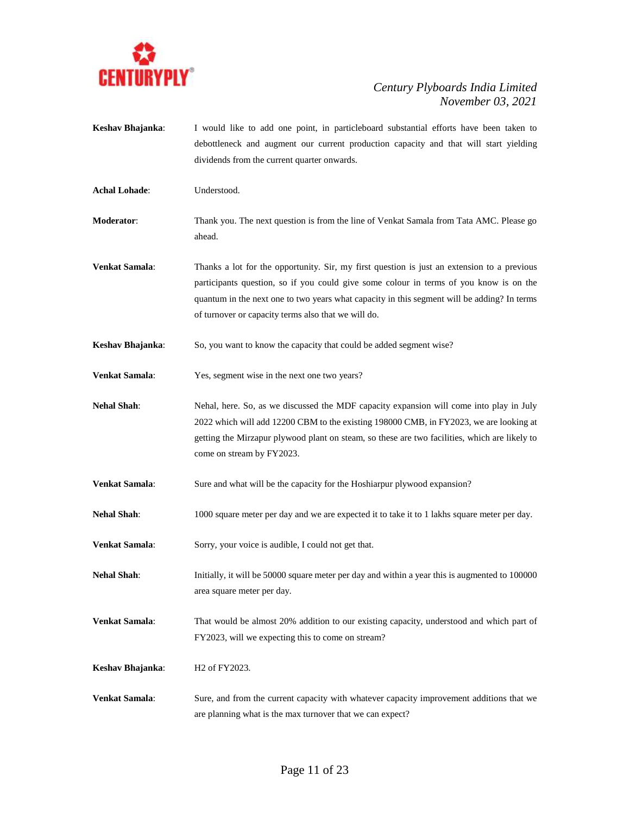

- **Keshav Bhajanka**: I would like to add one point, in particleboard substantial efforts have been taken to debottleneck and augment our current production capacity and that will start yielding dividends from the current quarter onwards.
- **Achal Lohade**: Understood.
- **Moderator**: Thank you. The next question is from the line of Venkat Samala from Tata AMC. Please go ahead.
- **Venkat Samala**: Thanks a lot for the opportunity. Sir, my first question is just an extension to a previous participants question, so if you could give some colour in terms of you know is on the quantum in the next one to two years what capacity in this segment will be adding? In terms of turnover or capacity terms also that we will do.
- **Keshav Bhajanka**: So, you want to know the capacity that could be added segment wise?
- **Venkat Samala**: Yes, segment wise in the next one two years?
- **Nehal Shah**: Nehal, here. So, as we discussed the MDF capacity expansion will come into play in July 2022 which will add 12200 CBM to the existing 198000 CMB, in FY2023, we are looking at getting the Mirzapur plywood plant on steam, so these are two facilities, which are likely to come on stream by FY2023.
- **Venkat Samala**: Sure and what will be the capacity for the Hoshiarpur plywood expansion?
- **Nehal Shah**: 1000 square meter per day and we are expected it to take it to 1 lakhs square meter per day.
- **Venkat Samala:** Sorry, your voice is audible, I could not get that.
- **Nehal Shah**: Initially, it will be 50000 square meter per day and within a year this is augmented to 100000 area square meter per day.
- **Venkat Samala**: That would be almost 20% addition to our existing capacity, understood and which part of FY2023, will we expecting this to come on stream?
- **Keshav Bhajanka:** H2 of FY2023.
- **Venkat Samala**: Sure, and from the current capacity with whatever capacity improvement additions that we are planning what is the max turnover that we can expect?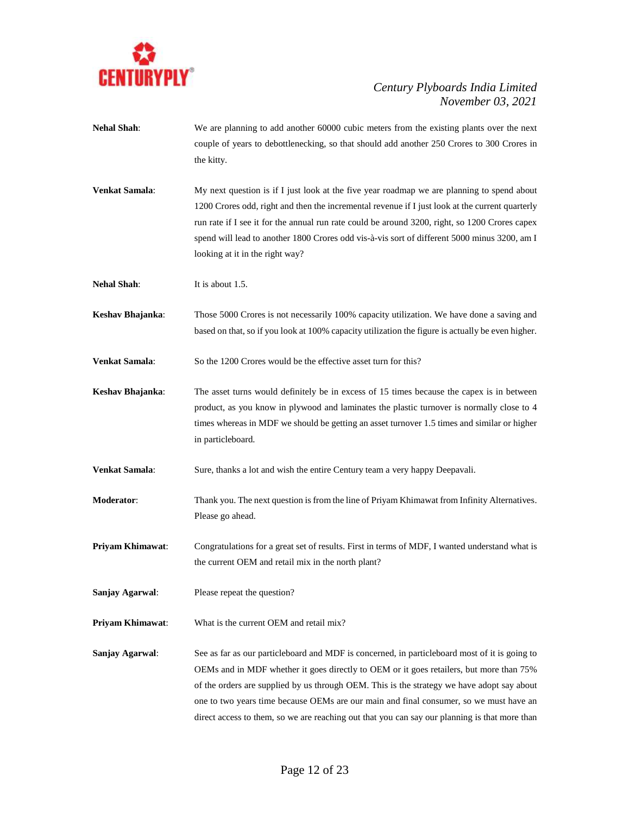

- **Nehal Shah**: We are planning to add another 60000 cubic meters from the existing plants over the next couple of years to debottlenecking, so that should add another 250 Crores to 300 Crores in the kitty.
- **Venkat Samala**: My next question is if I just look at the five year roadmap we are planning to spend about 1200 Crores odd, right and then the incremental revenue if I just look at the current quarterly run rate if I see it for the annual run rate could be around 3200, right, so 1200 Crores capex spend will lead to another 1800 Crores odd vis-à-vis sort of different 5000 minus 3200, am I looking at it in the right way?
- **Nehal Shah:** It is about 1.5.
- **Keshav Bhajanka**: Those 5000 Crores is not necessarily 100% capacity utilization. We have done a saving and based on that, so if you look at 100% capacity utilization the figure is actually be even higher.

**Venkat Samala:** So the 1200 Crores would be the effective asset turn for this?

- **Keshav Bhajanka:** The asset turns would definitely be in excess of 15 times because the capex is in between product, as you know in plywood and laminates the plastic turnover is normally close to 4 times whereas in MDF we should be getting an asset turnover 1.5 times and similar or higher in particleboard.
- **Venkat Samala**: Sure, thanks a lot and wish the entire Century team a very happy Deepavali.
- **Moderator**: Thank you. The next question is from the line of Priyam Khimawat from Infinity Alternatives. Please go ahead.
- **Priyam Khimawat**: Congratulations for a great set of results. First in terms of MDF, I wanted understand what is the current OEM and retail mix in the north plant?
- **Sanjay Agarwal**: Please repeat the question?
- **Priyam Khimawat**: What is the current OEM and retail mix?
- **Sanjay Agarwal:** See as far as our particleboard and MDF is concerned, in particleboard most of it is going to OEMs and in MDF whether it goes directly to OEM or it goes retailers, but more than 75% of the orders are supplied by us through OEM. This is the strategy we have adopt say about one to two years time because OEMs are our main and final consumer, so we must have an direct access to them, so we are reaching out that you can say our planning is that more than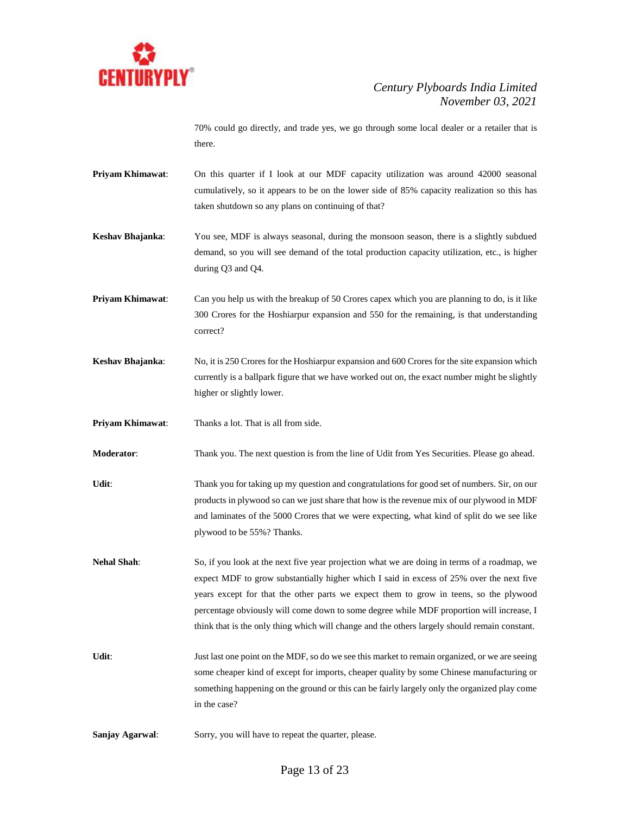

70% could go directly, and trade yes, we go through some local dealer or a retailer that is there.

**Priyam Khimawat**: On this quarter if I look at our MDF capacity utilization was around 42000 seasonal cumulatively, so it appears to be on the lower side of 85% capacity realization so this has taken shutdown so any plans on continuing of that?

**Keshav Bhajanka**: You see, MDF is always seasonal, during the monsoon season, there is a slightly subdued demand, so you will see demand of the total production capacity utilization, etc., is higher during Q3 and Q4.

**Priyam Khimawat:** Can you help us with the breakup of 50 Crores capex which you are planning to do, is it like 300 Crores for the Hoshiarpur expansion and 550 for the remaining, is that understanding correct?

**Keshav Bhajanka**: No, it is 250 Crores for the Hoshiarpur expansion and 600 Crores for the site expansion which currently is a ballpark figure that we have worked out on, the exact number might be slightly higher or slightly lower.

**Priyam Khimawat**: Thanks a lot. That is all from side.

**Moderator**: Thank you. The next question is from the line of Udit from Yes Securities. Please go ahead.

Udit: Thank you for taking up my question and congratulations for good set of numbers. Sir, on our products in plywood so can we just share that how is the revenue mix of our plywood in MDF and laminates of the 5000 Crores that we were expecting, what kind of split do we see like plywood to be 55%? Thanks.

**Nehal Shah**: So, if you look at the next five year projection what we are doing in terms of a roadmap, we expect MDF to grow substantially higher which I said in excess of 25% over the next five years except for that the other parts we expect them to grow in teens, so the plywood percentage obviously will come down to some degree while MDF proportion will increase, I think that is the only thing which will change and the others largely should remain constant.

Udit: Just last one point on the MDF, so do we see this market to remain organized, or we are seeing some cheaper kind of except for imports, cheaper quality by some Chinese manufacturing or something happening on the ground or this can be fairly largely only the organized play come in the case?

**Sanjay Agarwal**: Sorry, you will have to repeat the quarter, please.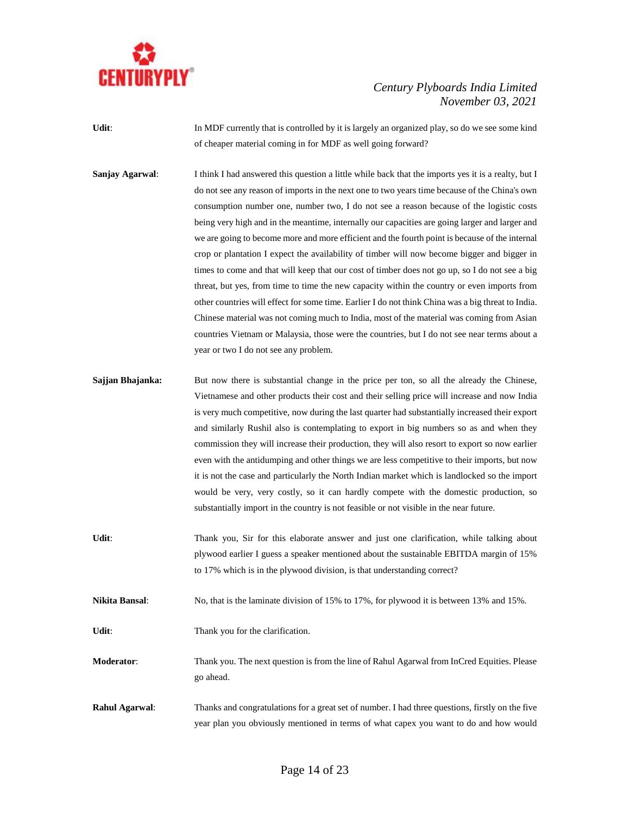

- **Udit:** In MDF currently that is controlled by it is largely an organized play, so do we see some kind of cheaper material coming in for MDF as well going forward?
- **Sanjay Agarwal:** I think I had answered this question a little while back that the imports yes it is a realty, but I do not see any reason of imports in the next one to two years time because of the China's own consumption number one, number two, I do not see a reason because of the logistic costs being very high and in the meantime, internally our capacities are going larger and larger and we are going to become more and more efficient and the fourth point is because of the internal crop or plantation I expect the availability of timber will now become bigger and bigger in times to come and that will keep that our cost of timber does not go up, so I do not see a big threat, but yes, from time to time the new capacity within the country or even imports from other countries will effect for some time. Earlier I do not think China was a big threat to India. Chinese material was not coming much to India, most of the material was coming from Asian countries Vietnam or Malaysia, those were the countries, but I do not see near terms about a year or two I do not see any problem.
- **Sajjan Bhajanka:** But now there is substantial change in the price per ton, so all the already the Chinese, Vietnamese and other products their cost and their selling price will increase and now India is very much competitive, now during the last quarter had substantially increased their export and similarly Rushil also is contemplating to export in big numbers so as and when they commission they will increase their production, they will also resort to export so now earlier even with the antidumping and other things we are less competitive to their imports, but now it is not the case and particularly the North Indian market which is landlocked so the import would be very, very costly, so it can hardly compete with the domestic production, so substantially import in the country is not feasible or not visible in the near future.
- Udit: Thank you, Sir for this elaborate answer and just one clarification, while talking about plywood earlier I guess a speaker mentioned about the sustainable EBITDA margin of 15% to 17% which is in the plywood division, is that understanding correct?
- **Nikita Bansal:** No, that is the laminate division of 15% to 17%, for plywood it is between 13% and 15%.
- Udit: Thank you for the clarification.
- **Moderator**: Thank you. The next question is from the line of Rahul Agarwal from InCred Equities. Please go ahead.
- **Rahul Agarwal**: Thanks and congratulations for a great set of number. I had three questions, firstly on the five year plan you obviously mentioned in terms of what capex you want to do and how would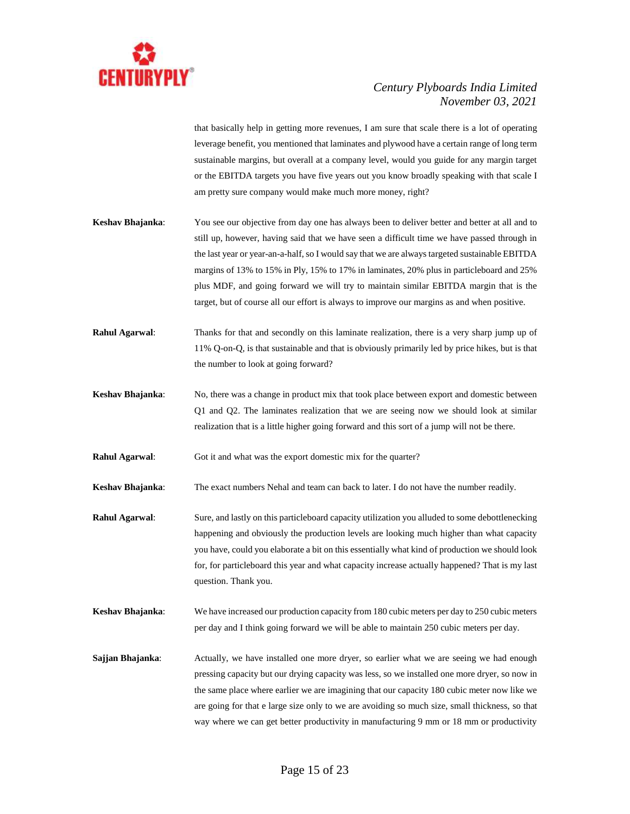

that basically help in getting more revenues, I am sure that scale there is a lot of operating leverage benefit, you mentioned that laminates and plywood have a certain range of long term sustainable margins, but overall at a company level, would you guide for any margin target or the EBITDA targets you have five years out you know broadly speaking with that scale I am pretty sure company would make much more money, right?

- **Keshav Bhajanka**: You see our objective from day one has always been to deliver better and better at all and to still up, however, having said that we have seen a difficult time we have passed through in the last year or year-an-a-half, so I would say that we are always targeted sustainable EBITDA margins of 13% to 15% in Ply, 15% to 17% in laminates, 20% plus in particleboard and 25% plus MDF, and going forward we will try to maintain similar EBITDA margin that is the target, but of course all our effort is always to improve our margins as and when positive.
- **Rahul Agarwal**: Thanks for that and secondly on this laminate realization, there is a very sharp jump up of 11% Q-on-Q, is that sustainable and that is obviously primarily led by price hikes, but is that the number to look at going forward?
- **Keshav Bhajanka**: No, there was a change in product mix that took place between export and domestic between Q1 and Q2. The laminates realization that we are seeing now we should look at similar realization that is a little higher going forward and this sort of a jump will not be there.
- **Rahul Agarwal:** Got it and what was the export domestic mix for the quarter?

**Keshav Bhajanka**: The exact numbers Nehal and team can back to later. I do not have the number readily.

- **Rahul Agarwal:** Sure, and lastly on this particleboard capacity utilization you alluded to some debottlenecking happening and obviously the production levels are looking much higher than what capacity you have, could you elaborate a bit on this essentially what kind of production we should look for, for particleboard this year and what capacity increase actually happened? That is my last question. Thank you.
- **Keshav Bhajanka**: We have increased our production capacity from 180 cubic meters per day to 250 cubic meters per day and I think going forward we will be able to maintain 250 cubic meters per day.
- **Sajjan Bhajanka:** Actually, we have installed one more dryer, so earlier what we are seeing we had enough pressing capacity but our drying capacity was less, so we installed one more dryer, so now in the same place where earlier we are imagining that our capacity 180 cubic meter now like we are going for that e large size only to we are avoiding so much size, small thickness, so that way where we can get better productivity in manufacturing 9 mm or 18 mm or productivity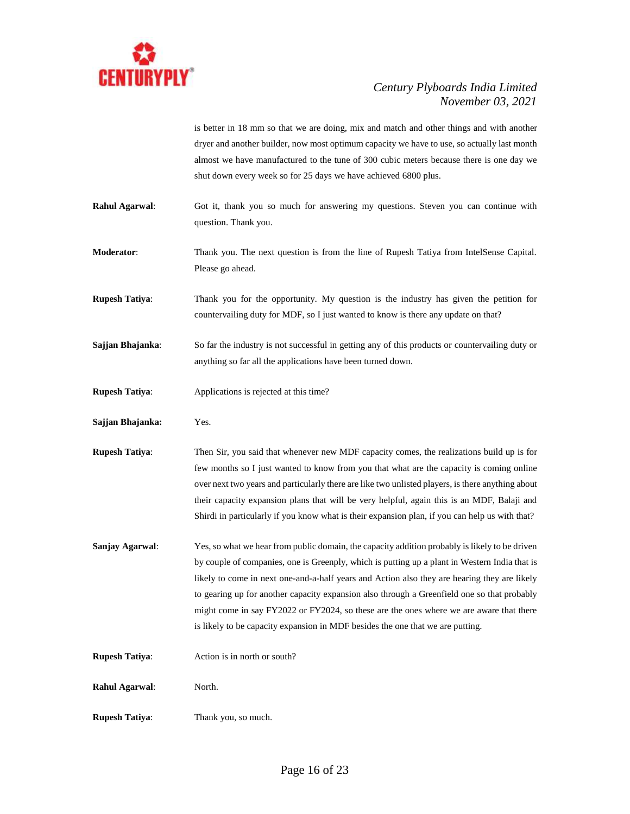

is better in 18 mm so that we are doing, mix and match and other things and with another dryer and another builder, now most optimum capacity we have to use, so actually last month almost we have manufactured to the tune of 300 cubic meters because there is one day we shut down every week so for 25 days we have achieved 6800 plus.

**Rahul Agarwal:** Got it, thank you so much for answering my questions. Steven you can continue with question. Thank you.

**Moderator**: Thank you. The next question is from the line of Rupesh Tatiya from IntelSense Capital. Please go ahead.

**Rupesh Tatiya**: Thank you for the opportunity. My question is the industry has given the petition for countervailing duty for MDF, so I just wanted to know is there any update on that?

**Sajjan Bhajanka**: So far the industry is not successful in getting any of this products or countervailing duty or anything so far all the applications have been turned down.

- **Rupesh Tatiya:** Applications is rejected at this time?
- **Sajjan Bhajanka:** Yes.

**Rupesh Tatiya**: Then Sir, you said that whenever new MDF capacity comes, the realizations build up is for few months so I just wanted to know from you that what are the capacity is coming online over next two years and particularly there are like two unlisted players, is there anything about their capacity expansion plans that will be very helpful, again this is an MDF, Balaji and Shirdi in particularly if you know what is their expansion plan, if you can help us with that?

- **Sanjay Agarwal:** Yes, so what we hear from public domain, the capacity addition probably is likely to be driven by couple of companies, one is Greenply, which is putting up a plant in Western India that is likely to come in next one-and-a-half years and Action also they are hearing they are likely to gearing up for another capacity expansion also through a Greenfield one so that probably might come in say FY2022 or FY2024, so these are the ones where we are aware that there is likely to be capacity expansion in MDF besides the one that we are putting.
- **Rupesh Tatiya:** Action is in north or south?
- **Rahul Agarwal**: North.
- **Rupesh Tatiya**: Thank you, so much.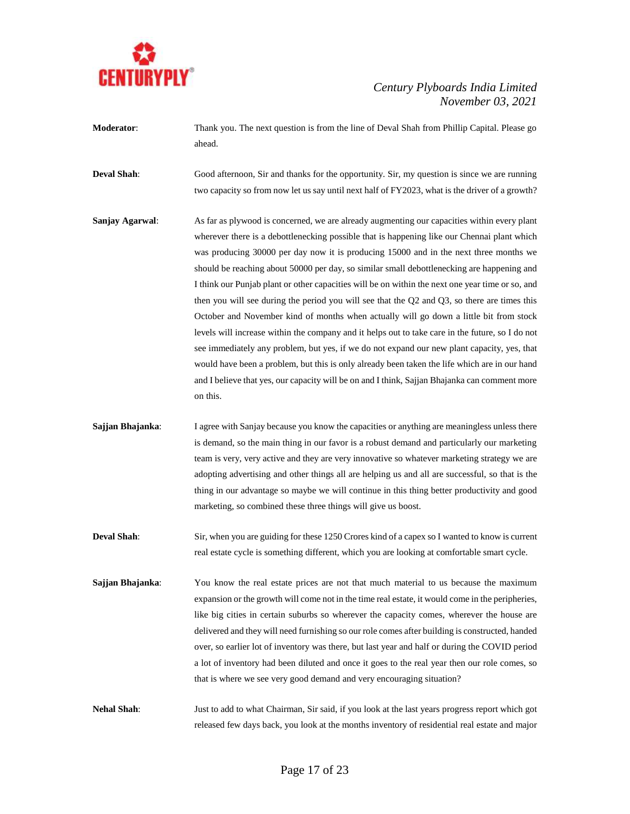

- **Moderator:** Thank you. The next question is from the line of Deval Shah from Phillip Capital. Please go ahead.
- **Deval Shah**: Good afternoon, Sir and thanks for the opportunity. Sir, my question is since we are running two capacity so from now let us say until next half of FY2023, what is the driver of a growth?
- **Sanjay Agarwal:** As far as plywood is concerned, we are already augmenting our capacities within every plant wherever there is a debottlenecking possible that is happening like our Chennai plant which was producing 30000 per day now it is producing 15000 and in the next three months we should be reaching about 50000 per day, so similar small debottlenecking are happening and I think our Punjab plant or other capacities will be on within the next one year time or so, and then you will see during the period you will see that the Q2 and Q3, so there are times this October and November kind of months when actually will go down a little bit from stock levels will increase within the company and it helps out to take care in the future, so I do not see immediately any problem, but yes, if we do not expand our new plant capacity, yes, that would have been a problem, but this is only already been taken the life which are in our hand and I believe that yes, our capacity will be on and I think, Sajjan Bhajanka can comment more on this.
- **Sajjan Bhajanka:** I agree with Sanjay because you know the capacities or anything are meaningless unless there is demand, so the main thing in our favor is a robust demand and particularly our marketing team is very, very active and they are very innovative so whatever marketing strategy we are adopting advertising and other things all are helping us and all are successful, so that is the thing in our advantage so maybe we will continue in this thing better productivity and good marketing, so combined these three things will give us boost.
- **Deval Shah**: Sir, when you are guiding for these 1250 Crores kind of a capex so I wanted to know is current real estate cycle is something different, which you are looking at comfortable smart cycle.
- **Sajjan Bhajanka:** You know the real estate prices are not that much material to us because the maximum expansion or the growth will come not in the time real estate, it would come in the peripheries, like big cities in certain suburbs so wherever the capacity comes, wherever the house are delivered and they will need furnishing so our role comes after building is constructed, handed over, so earlier lot of inventory was there, but last year and half or during the COVID period a lot of inventory had been diluted and once it goes to the real year then our role comes, so that is where we see very good demand and very encouraging situation?
- **Nehal Shah**: Just to add to what Chairman, Sir said, if you look at the last years progress report which got released few days back, you look at the months inventory of residential real estate and major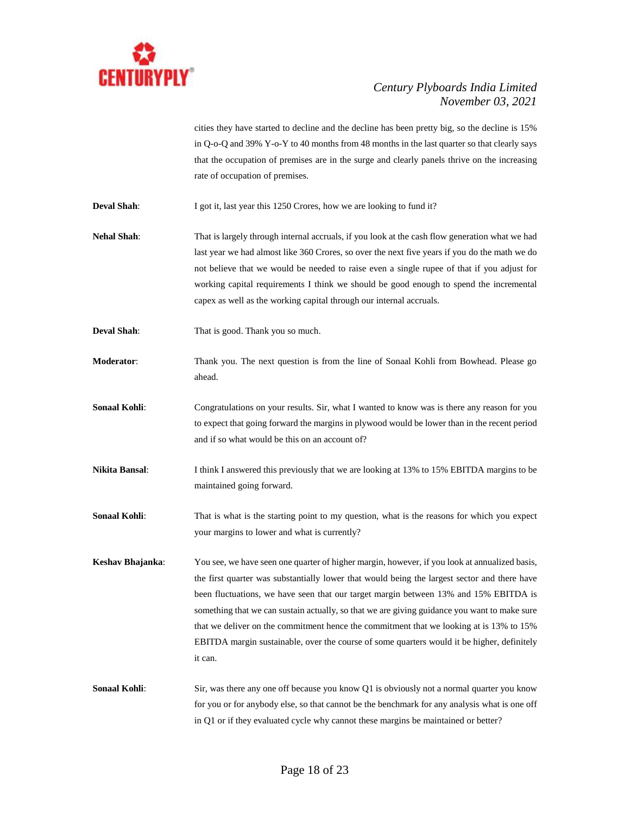

cities they have started to decline and the decline has been pretty big, so the decline is 15% in Q-o-Q and 39% Y-o-Y to 40 months from 48 months in the last quarter so that clearly says that the occupation of premises are in the surge and clearly panels thrive on the increasing rate of occupation of premises.

**Deval Shah**: I got it, last year this 1250 Crores, how we are looking to fund it?

**Nehal Shah**: That is largely through internal accruals, if you look at the cash flow generation what we had last year we had almost like 360 Crores, so over the next five years if you do the math we do not believe that we would be needed to raise even a single rupee of that if you adjust for working capital requirements I think we should be good enough to spend the incremental capex as well as the working capital through our internal accruals.

**Deval Shah**: That is good. Thank you so much.

**Moderator**: Thank you. The next question is from the line of Sonaal Kohli from Bowhead. Please go ahead.

- **Sonaal Kohli:** Congratulations on your results. Sir, what I wanted to know was is there any reason for you to expect that going forward the margins in plywood would be lower than in the recent period and if so what would be this on an account of?
- **Nikita Bansal**: I think I answered this previously that we are looking at 13% to 15% EBITDA margins to be maintained going forward.
- **Sonaal Kohli:** That is what is the starting point to my question, what is the reasons for which you expect your margins to lower and what is currently?

**Keshav Bhajanka**: You see, we have seen one quarter of higher margin, however, if you look at annualized basis, the first quarter was substantially lower that would being the largest sector and there have been fluctuations, we have seen that our target margin between 13% and 15% EBITDA is something that we can sustain actually, so that we are giving guidance you want to make sure that we deliver on the commitment hence the commitment that we looking at is 13% to 15% EBITDA margin sustainable, over the course of some quarters would it be higher, definitely it can.

**Sonaal Kohli:** Sir, was there any one off because you know Q1 is obviously not a normal quarter you know for you or for anybody else, so that cannot be the benchmark for any analysis what is one off in Q1 or if they evaluated cycle why cannot these margins be maintained or better?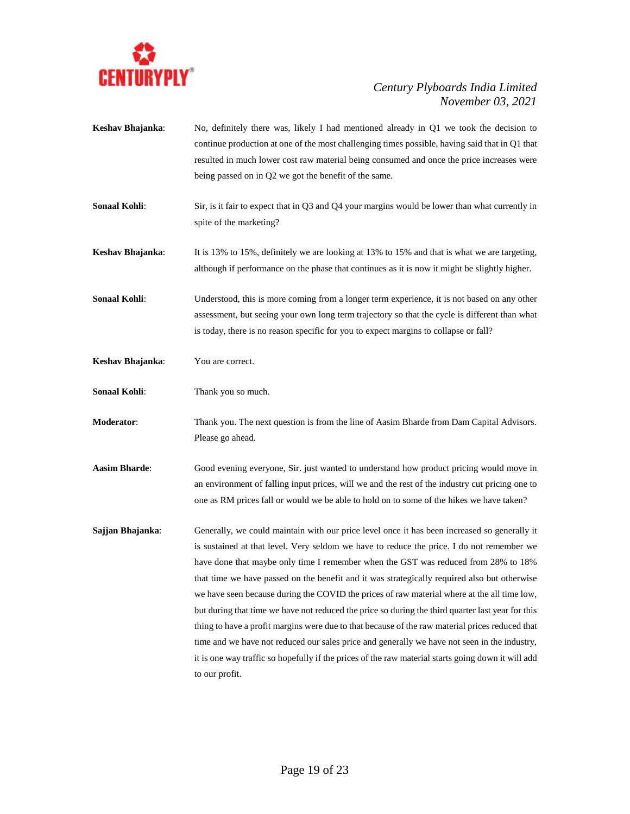

- **Keshav Bhajanka**: No, definitely there was, likely I had mentioned already in Q1 we took the decision to continue production at one of the most challenging times possible, having said that in Q1 that resulted in much lower cost raw material being consumed and once the price increases were being passed on in Q2 we got the benefit of the same.
- **Sonaal Kohli:** Sir, is it fair to expect that in Q3 and Q4 your margins would be lower than what currently in spite of the marketing?
- **Keshav Bhajanka**: It is 13% to 15%, definitely we are looking at 13% to 15% and that is what we are targeting, although if performance on the phase that continues as it is now it might be slightly higher.

**Sonaal Kohli:** Understood, this is more coming from a longer term experience, it is not based on any other assessment, but seeing your own long term trajectory so that the cycle is different than what is today, there is no reason specific for you to expect margins to collapse or fall?

- **Keshav Bhajanka**: You are correct.
- **Sonaal Kohli:** Thank you so much.

**Moderator**: Thank you. The next question is from the line of Aasim Bharde from Dam Capital Advisors. Please go ahead.

**Aasim Bharde**: Good evening everyone, Sir. just wanted to understand how product pricing would move in an environment of falling input prices, will we and the rest of the industry cut pricing one to one as RM prices fall or would we be able to hold on to some of the hikes we have taken?

**Sajjan Bhajanka:** Generally, we could maintain with our price level once it has been increased so generally it is sustained at that level. Very seldom we have to reduce the price. I do not remember we have done that maybe only time I remember when the GST was reduced from 28% to 18% that time we have passed on the benefit and it was strategically required also but otherwise we have seen because during the COVID the prices of raw material where at the all time low, but during that time we have not reduced the price so during the third quarter last year for this thing to have a profit margins were due to that because of the raw material prices reduced that time and we have not reduced our sales price and generally we have not seen in the industry, it is one way traffic so hopefully if the prices of the raw material starts going down it will add to our profit.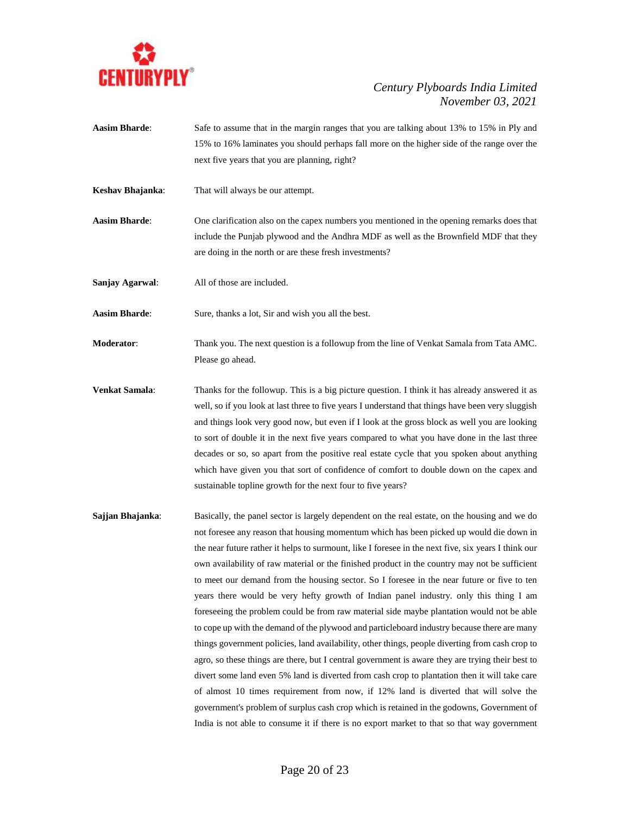

- **Aasim Bharde**: Safe to assume that in the margin ranges that you are talking about 13% to 15% in Ply and 15% to 16% laminates you should perhaps fall more on the higher side of the range over the next five years that you are planning, right?
- **Keshav Bhajanka**: That will always be our attempt.

**Aasim Bharde**: One clarification also on the capex numbers you mentioned in the opening remarks does that include the Punjab plywood and the Andhra MDF as well as the Brownfield MDF that they are doing in the north or are these fresh investments?

**Sanjay Agarwal**: All of those are included.

**Aasim Bharde:** Sure, thanks a lot, Sir and wish you all the best.

**Moderator**: Thank you. The next question is a followup from the line of Venkat Samala from Tata AMC. Please go ahead.

**Venkat Samala**: Thanks for the followup. This is a big picture question. I think it has already answered it as well, so if you look at last three to five years I understand that things have been very sluggish and things look very good now, but even if I look at the gross block as well you are looking to sort of double it in the next five years compared to what you have done in the last three decades or so, so apart from the positive real estate cycle that you spoken about anything which have given you that sort of confidence of comfort to double down on the capex and sustainable topline growth for the next four to five years?

**Sajjan Bhajanka:** Basically, the panel sector is largely dependent on the real estate, on the housing and we do not foresee any reason that housing momentum which has been picked up would die down in the near future rather it helps to surmount, like I foresee in the next five, six years I think our own availability of raw material or the finished product in the country may not be sufficient to meet our demand from the housing sector. So I foresee in the near future or five to ten years there would be very hefty growth of Indian panel industry. only this thing I am foreseeing the problem could be from raw material side maybe plantation would not be able to cope up with the demand of the plywood and particleboard industry because there are many things government policies, land availability, other things, people diverting from cash crop to agro, so these things are there, but I central government is aware they are trying their best to divert some land even 5% land is diverted from cash crop to plantation then it will take care of almost 10 times requirement from now, if 12% land is diverted that will solve the government's problem of surplus cash crop which is retained in the godowns, Government of India is not able to consume it if there is no export market to that so that way government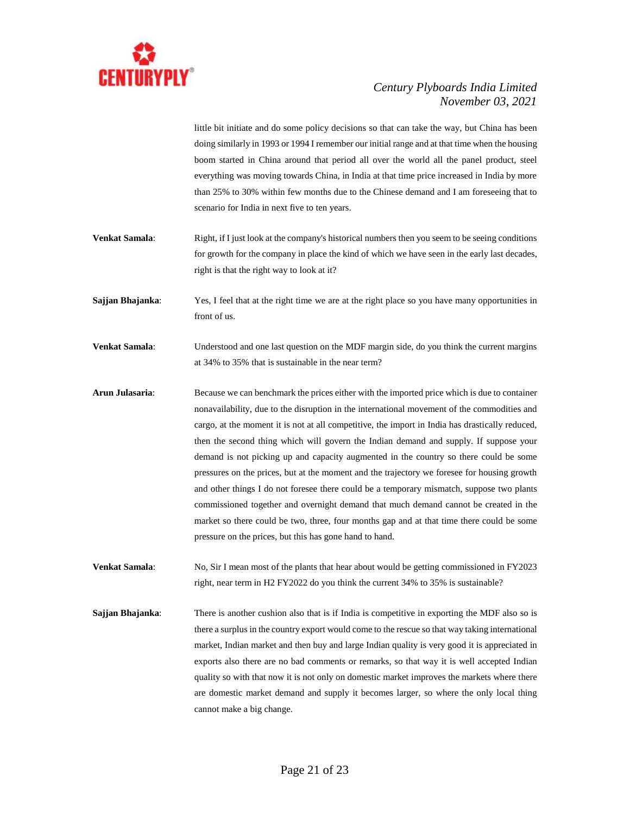

little bit initiate and do some policy decisions so that can take the way, but China has been doing similarly in 1993 or 1994 I remember our initial range and at that time when the housing boom started in China around that period all over the world all the panel product, steel everything was moving towards China, in India at that time price increased in India by more than 25% to 30% within few months due to the Chinese demand and I am foreseeing that to scenario for India in next five to ten years.

- **Venkat Samala:** Right, if I just look at the company's historical numbers then you seem to be seeing conditions for growth for the company in place the kind of which we have seen in the early last decades, right is that the right way to look at it?
- **Sajjan Bhajanka:** Yes, I feel that at the right time we are at the right place so you have many opportunities in front of us.
- **Venkat Samala**: Understood and one last question on the MDF margin side, do you think the current margins at 34% to 35% that is sustainable in the near term?
- **Arun Julasaria**: Because we can benchmark the prices either with the imported price which is due to container nonavailability, due to the disruption in the international movement of the commodities and cargo, at the moment it is not at all competitive, the import in India has drastically reduced, then the second thing which will govern the Indian demand and supply. If suppose your demand is not picking up and capacity augmented in the country so there could be some pressures on the prices, but at the moment and the trajectory we foresee for housing growth and other things I do not foresee there could be a temporary mismatch, suppose two plants commissioned together and overnight demand that much demand cannot be created in the market so there could be two, three, four months gap and at that time there could be some pressure on the prices, but this has gone hand to hand.

**Venkat Samala**: No, Sir I mean most of the plants that hear about would be getting commissioned in FY2023 right, near term in H2 FY2022 do you think the current 34% to 35% is sustainable?

**Sajjan Bhajanka:** There is another cushion also that is if India is competitive in exporting the MDF also so is there a surplus in the country export would come to the rescue so that way taking international market, Indian market and then buy and large Indian quality is very good it is appreciated in exports also there are no bad comments or remarks, so that way it is well accepted Indian quality so with that now it is not only on domestic market improves the markets where there are domestic market demand and supply it becomes larger, so where the only local thing cannot make a big change.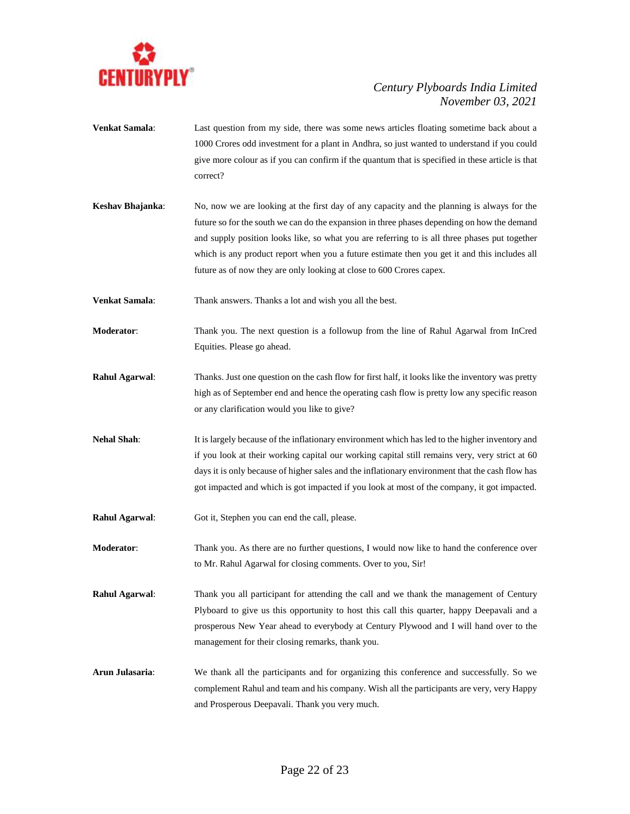

- **Venkat Samala**: Last question from my side, there was some news articles floating sometime back about a 1000 Crores odd investment for a plant in Andhra, so just wanted to understand if you could give more colour as if you can confirm if the quantum that is specified in these article is that correct?
- **Keshav Bhajanka**: No, now we are looking at the first day of any capacity and the planning is always for the future so for the south we can do the expansion in three phases depending on how the demand and supply position looks like, so what you are referring to is all three phases put together which is any product report when you a future estimate then you get it and this includes all future as of now they are only looking at close to 600 Crores capex.
- **Venkat Samala:** Thank answers. Thanks a lot and wish you all the best.
- **Moderator**: Thank you. The next question is a followup from the line of Rahul Agarwal from InCred Equities. Please go ahead.
- **Rahul Agarwal**: Thanks. Just one question on the cash flow for first half, it looks like the inventory was pretty high as of September end and hence the operating cash flow is pretty low any specific reason or any clarification would you like to give?
- **Nehal Shah**: It is largely because of the inflationary environment which has led to the higher inventory and if you look at their working capital our working capital still remains very, very strict at 60 days it is only because of higher sales and the inflationary environment that the cash flow has got impacted and which is got impacted if you look at most of the company, it got impacted.
- **Rahul Agarwal:** Got it, Stephen you can end the call, please.
- **Moderator:** Thank you. As there are no further questions, I would now like to hand the conference over to Mr. Rahul Agarwal for closing comments. Over to you, Sir!
- **Rahul Agarwal**: Thank you all participant for attending the call and we thank the management of Century Plyboard to give us this opportunity to host this call this quarter, happy Deepavali and a prosperous New Year ahead to everybody at Century Plywood and I will hand over to the management for their closing remarks, thank you.
- **Arun Julasaria**: We thank all the participants and for organizing this conference and successfully. So we complement Rahul and team and his company. Wish all the participants are very, very Happy and Prosperous Deepavali. Thank you very much.